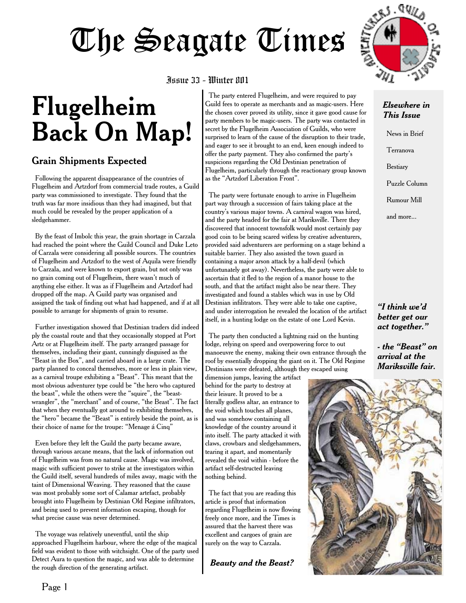# **Flugelheim Back On Map!**

## Grain Shipments Expected

Following the apparent disappearance of the countries of Flugelheim and Artzdorf from commercial trade routes, a Guild party was commissioned to investigate. They found that the truth was far more insidious than they had imagined, but that much could be revealed by the proper application of a sledgehammer.

By the feast of Imbolc this year, the grain shortage in Carzala had reached the point where the Guild Council and Duke Leto of Carzala were considering all possible sources. The countries of Flugelheim and Artzdorf to the west of Aquila were friendly to Carzala, and were known to export grain, but not only was no grain coming out of Flugelheim, there wasn't much of anything else either. It was as if Flugelheim and Artzdorf had dropped off the map. A Guild party was organised and assigned the task of finding out what had happened, and if at all possible to arrange for shipments of grain to resume.

Further investigation showed that Destinian traders did indeed ply the coastal route and that they occasionally stopped at Port Artz or at Flugelheim itself. The party arranged passage for themselves, including their giant, cunningly disguised as the "Beast in the Box", and carried aboard in a large crate. The party planned to conceal themselves, more or less in plain view, as a carnival troupe exhibiting a "Beast". This meant that the most obvious adventurer type could be "the hero who captured the beast", while the others were the "squire", the "beastwrangler", the "merchant" and of course, "the Beast". The fact that when they eventually got around to exhibiting themselves, the "hero" became the "Beast" is entirely beside the point, as is their choice of name for the troupe: "Menage a Cinq"

Even before they left the Guild the party became aware, through various arcane means, that the lack of information out of Flugelheim was from no natural cause. Magic was involved, magic with sufficient power to strike at the investigators within the Guild itself, several hundreds of miles away, magic with the taint of Dimensional Weaving. They reasoned that the cause was most probably some sort of Calamar artefact, probably brought into Flugelheim by Destinian Old Regime infiltrators, and being used to prevent information escaping, though for what precise cause was never determined.

The voyage was relatively uneventful, until the ship approached Flugelheim harbour, where the edge of the magical field was evident to those with witchsight. One of the party used Detect Aura to question the magic, and was able to determine the rough direction of the generating artifact.

Issue 33 - Winter 801

The party entered Flugelheim, and were required to pay Guild fees to operate as merchants and as magic-users. Here the chosen cover proved its utility, since it gave good cause for party members to be magic-users. The party was contacted in secret by the Flugelheim Association of Guilds, who were surprised to learn of the cause of the disruption to their trade, and eager to see it brought to an end, keen enough indeed to offer the party payment. They also confirmed the party's suspicions regarding the Old Destinian penetration of Flugelheim, particularly through the reactionary group known as the "Artzdorf Liberation Front".

The party were fortunate enough to arrive in Flugelheim part way through a succession of fairs taking place at the country's various major towns. A carnival wagon was hired, and the party headed for the fair at Mariksville. There they discovered that innocent townsfolk would most certainly pay good coin to be being scared witless by creative adventurers, provided said adventurers are performing on a stage behind a suitable barrier. They also assisted the town guard in containing a major arson attack by a half-devil (which unfortunately got away). Nevertheless, the party were able to ascertain that it fled to the region of a manor house to the south, and that the artifact might also be near there. They investigated and found a stables which was in use by Old Destinian infilitrators. They were able to take one captive, and under interrogation he revealed the location of the artifact itself, in a hunting lodge on the estate of one Lord Kevin.

The party then conducted a lightning raid on the hunting lodge, relying on speed and overpowering force to out manoeuvre the enemy, making their own entrance through the roof by essentially dropping the giant on it. The Old Regime Destinians were defeated, although they escaped using

dimension jumps, leaving the artifact behind for the party to destroy at their leisure. It proved to be a literally godless altar, an entrance to the void which touches all planes, and was somehow containing all knowledge of the country around it into itself. The party attacked it with claws, crowbars and sledgehammers, tearing it apart, and momentarily revealed the void within - before the artifact self-destructed leaving nothing behind.

The fact that you are reading this article is proof that information regarding Flugelheim is now flowing freely once more, and the Times is assured that the harvest there was excellent and cargoes of grain are surely on the way to Carzala.

*Beauty and the Beast?*



#### *Elsewhere in This Issue*

News in Brief

Terranova

Bestiary

Puzzle Column

Rumour Mill

and more...

*"I think we'd better get our act together."*

*- the "Beast" on arrival at the Mariksville fair.*

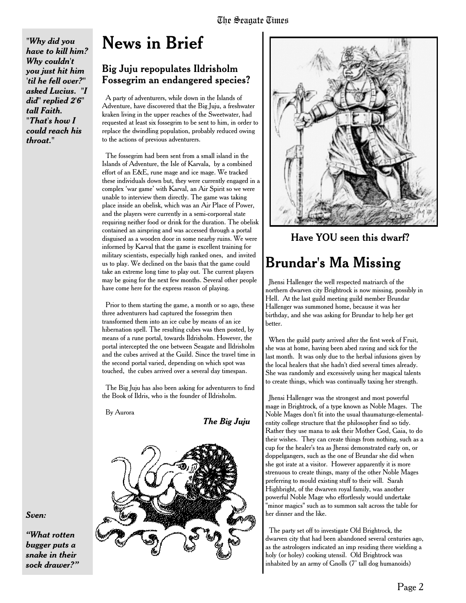*"Why did you have to kill him? Why couldn't you just hit him 'til he fell over?" asked Lucius. "I did" replied 2'6" tall Faith. "That's how I could reach his throat."*

# **News in Brief**

### Big Juju repopulates Ildrisholm **Fossegrim an endangered species?**

A party of adventurers, while down in the Islands of Adventure, have discovered that the Big Juju, a freshwater kraken living in the upper reaches of the Sweetwater, had requested at least six fossegrim to be sent to him, in order to replace the dwindling population, probably reduced owing to the actions of previous adventurers.

The fossegrim had been sent from a small island in the Islands of Adventure, the Isle of Karvala, by a combined effort of an E&E, rune mage and ice mage. We tracked these individuals down but, they were currently engaged in a complex 'war game' with Karval, an Air Spirit so we were unable to interview them directly. The game was taking place inside an obelisk, which was an Air Place of Power, and the players were currently in a semi-corporeal state requiring neither food or drink for the duration. The obelisk contained an airspring and was accessed through a portal disguised as a wooden door in some nearby ruins. We were informed by Karval that the game is excellent training for military scientists, especially high ranked ones, and invited us to play. We declined on the basis that the game could take an extreme long time to play out. The current players may be going for the next few months. Several other people have come here for the express reason of playing.

Prior to them starting the game, a month or so ago, these three adventurers had captured the fossegrim then transformed them into an ice cube by means of an ice hibernation spell. The resulting cubes was then posted, by means of a rune portal, towards Ildrisholm. However, the portal intercepted the one between Seagate and Ildrisholm and the cubes arrived at the Guild. Since the travel time in the second portal varied, depending on which spot was touched, the cubes arrived over a several day timespan.

The Big Juju has also been asking for adventurers to find the Book of Ildris, who is the founder of Ildrisholm.

By Aurora

*The Big Juju*



*Sven:*

*"What rotten bugger puts a snake in their sock drawer?"*



Have YOU seen this dwarf?

# **Brundar's Ma Missing**

Jhensi Hallenger the well respected matriarch of the northern dwarven city Brightrock is now missing, possibly in Hell. At the last guild meeting guild member Brundar Hallenger was summoned home, because it was her birthday, and she was asking for Brundar to help her get better.

When the guild party arrived after the first week of Fruit, she was at home, having been abed raving and sick for the last month. It was only due to the herbal infusions given by the local healers that she hadn't died several times already. She was randomly and excessively using her magical talents to create things, which was continually taxing her strength.

Jhensi Hallenger was the strongest and most powerful mage in Brightrock, of a type known as Noble Mages. The Noble Mages don't fit into the usual thaumaturge-elementalentity college structure that the philosopher find so tidy. Rather they use mana to ask their Mother God, Gaia, to do their wishes. They can create things from nothing, such as a cup for the healer's tea as Jhensi demonstrated early on, or doppelgangers, such as the one of Brundar she did when she got irate at a visitor. However apparently it is more strenuous to create things, many of the other Noble Mages preferring to mould existing stuff to their will. Sarah Highbright, of the dwarven royal family, was another powerful Noble Mage who effortlessly would undertake "minor magics" such as to summon salt across the table for her dinner and the like.

The party set off to investigate Old Brightrock, the dwarven city that had been abandoned several centuries ago, as the astrologers indicated an imp residing there wielding a holy (or holey) cooking utensil. Old Brightrock was inhabited by an army of Gnolls (7' tall dog humanoids)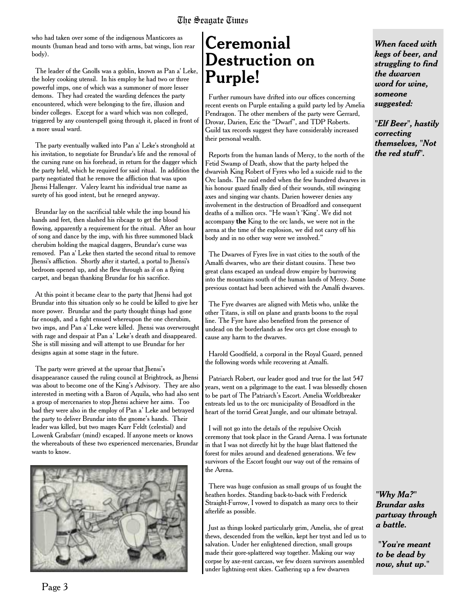who had taken over some of the indigenous Manticores as mounts (human head and torso with arms, bat wings, lion rear body).

The leader of the Gnolls was a goblin, known as Pan a' Leke, the holey cooking utensil. In his employ he had two or three powerful imps, one of which was a summoner of more lesser demons. They had created the warding defences the party encountered, which were belonging to the fire, illusion and binder colleges. Except for a ward which was non colleged, triggered by any counterspell going through it, placed in front of a more usual ward.

The party eventually walked into Pan a' Leke's stronghold at his invitation, to negotiate for Brundar's life and the removal of the cursing rune on his forehead, in return for the dagger which the party held, which he required for said ritual. In addition the party negotiated that he remove the affliction that was upon Jhensi Hallenger. Valery learnt his individual true name as surety of his good intent, but he reneged anyway.

Brundar lay on the sacrificial table while the imp bound his hands and feet, then slashed his ribcage to get the blood flowing, apparently a requirement for the ritual. After an hour of song and dance by the imp, with his three summoned black cherubim holding the magical daggers, Brundar's curse was removed. Pan a' Leke then started the second ritual to remove Jhensi's affliction. Shortly after it started, a portal to Jhensi's bedroom opened up, and she flew through as if on a flying carpet, and began thanking Brundar for his sacrifice.

At this point it became clear to the party that Jhensi had got Brundar into this situation only so he could be killed to give her more power. Brundar and the party thought things had gone far enough, and a fight ensued whereupon the one cherubim, two imps, and Pan a' Leke were killed. Jhensi was overwrought with rage and despair at Pan a' Leke's death and disappeared. She is still missing and will attempt to use Brundar for her designs again at some stage in the future.

The party were grieved at the uproar that Jhensi's disappearance caused the ruling council at Brightrock, as Jhensi was about to become one of the King's Advisory. They are also interested in meeting with a Baron of Aquila, who had also sent a group of mercenaries to stop Jhensi achieve her aims. Too bad they were also in the employ of Pan a' Leke and betrayed the party to deliver Brundar into the gnome's hands. Their leader was killed, but two mages Kurr Feldt (celestial) and Lowenk Grabsfarr (mind) escaped. If anyone meets or knows the whereabouts of these two experienced mercenaries, Brundar wants to know.



# **Ceremonial Destruction on Purple!**

Further rumours have drifted into our offices concerning recent events on Purple entailing a guild party led by Amelia Pendragon. The other members of the party were Gerrard, Drovar, Darien, Eric the "Dwarf", and TDP Roberts. Guild tax records suggest they have considerably increased their personal wealth.

Reports from the human lands of Mercy, to the north of the Fetid Swamp of Death, show that the party helped the dwarvish King Robert of Fyres who led a suicide raid to the Orc lands. The raid ended when the few hundred dwarves in his honour guard finally died of their wounds, still swinging axes and singing war chants. Darien however denies any involvement in the destruction of Broadford and consequent deaths of a million orcs. "He wasn't 'King'. We did not accompany **the** King to the orc lands, we were not in the arena at the time of the explosion, we did not carry off his body and in no other way were we involved."

The Dwarves of Fyres live in vast cities to the south of the Amalfi dwarves, who are their distant cousins. These two great clans escaped an undead drow empire by burrowing into the mountains south of the human lands of Mercy. Some previous contact had been achieved with the Amalfi dwarves.

The Fyre dwarves are aligned with Metis who, unlike the other Titans, is still on plane and grants boons to the royal line. The Fyre have also benefited from the presence of undead on the borderlands as few orcs get close enough to cause any harm to the dwarves.

Harold Goodfield, a corporal in the Royal Guard, penned the following words while recovering at Amalfi.

Patriarch Robert, our leader good and true for the last 547 years, went on a pilgrimage to the east. I was blessedly chosen to be part of The Patriarch's Escort. Amelia Worldbreaker entreats led us to the orc municipality of Broadford in the heart of the torrid Great Jungle, and our ultimate betrayal.

I will not go into the details of the repulsive Orcish ceremony that took place in the Grand Arena. I was fortunate in that I was not directly hit by the huge blast flattened the forest for miles around and deafened generations. We few survivors of the Escort fought our way out of the remains of the Arena.

There was huge confusion as small groups of us fought the heathen hordes. Standing back-to-back with Frederick Straight-Furrow, I vowed to dispatch as many orcs to their afterlife as possible.

Just as things looked particularly grim, Amelia, she of great thews, descended from the welkin, kept her tryst and led us to salvation. Under her enlightened direction, small groups made their gore-splattered way together. Making our way corpse by axe-rent carcass, we few dozen survivors assembled under lightning-rent skies. Gathering up a few dwarven

*When faced with kegs of beer, and struggling to find the dwarven word for wine, someone suggested:*

*"Elf Beer", hastily correcting themselves, "Not the red stuff".*

*"Why Ma?" Brundar asks partway through a battle.*

*"You're meant to be dead by now, shut up."*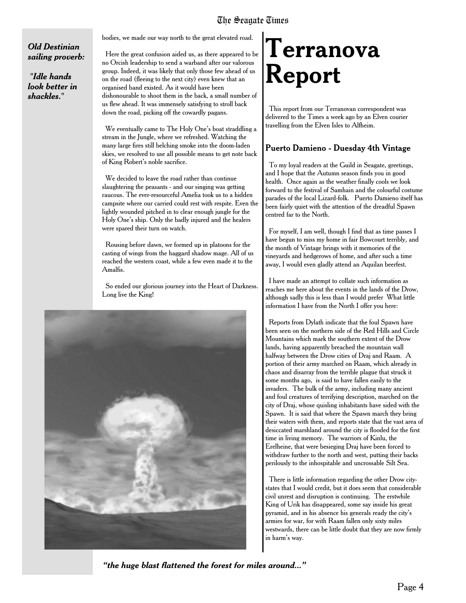#### *Old Destinian sailing proverb:*

*"Idle hands look better in shackles."*

bodies, we made our way north to the great elevated road.

Here the great confusion aided us, as there appeared to be no Orcish leadership to send a warband after our valorous group. Indeed, it was likely that only those few ahead of us on the road (fleeing to the next city) even knew that an organised band existed. As it would have been dishonourable to shoot them in the back, a small number of us flew ahead. It was immensely satisfying to stroll back down the road, picking off the cowardly pagans.

We eventually came to The Holy One's boat straddling a stream in the Jungle, where we refreshed. Watching the many large fires still belching smoke into the doom-laden skies, we resolved to use all possible means to get note back of King Robert's noble sacrifice.

We decided to leave the road rather than continue slaughtering the peasants - and our singing was getting raucous. The ever-resourceful Amelia took us to a hidden campsite where our carried could rest with respite. Even the lightly wounded pitched in to clear enough jungle for the Holy One's ship. Only the badly injured and the healers were spared their turn on watch.

Rousing before dawn, we formed up in platoons for the casting of wings from the haggard shadow mage. All of us reached the western coast, while a few even made it to the Amalfis.

So ended our glorious journey into the Heart of Darkness. Long live the King!



# **Terranova Report**

This report from our Terranovan correspondent was delivered to the Times a week ago by an Elven courier travelling from the Elven Isles to Alfheim.

#### Puerto Damieno - Duesday 4th Vintage

To my loyal readers at the Guild in Seagate, greetings, and I hope that the Autumn season finds you in good health. Once again as the weather finally cools we look forward to the festival of Samhain and the colourful costume parades of the local Lizard-folk. Puerto Damieno itself has been fairly quiet with the attention of the dreadful Spawn centred far to the North.

For myself, I am well, though I find that as time passes I have begun to miss my home in fair Bowcourt terribly, and the month of Vintage brings with it memories of the vineyards and hedgerows of home, and after such a time away, I would even gladly attend an Aquilan beerfest.

I have made an attempt to collate such information as reaches me here about the events in the lands of the Drow, although sadly this is less than I would prefer What little information I have from the North I offer you here:

Reports from Dylath indicate that the foul Spawn have been seen on the northern side of the Red Hills and Circle Mountains which mark the southern extent of the Drow lands, having apparently breached the mountain wall halfway between the Drow cities of Draj and Raam. A portion of their army marched on Raam, which already in chaos and disarray from the terrible plague that struck it some months ago, is said to have fallen easily to the invaders. The bulk of the army, including many ancient and foul creatures of terrifying description, marched on the city of Draj, whose quisling inhabitants have sided with the Spawn. It is said that where the Spawn march they bring their waters with them, and reports state that the vast area of desiccated marshland around the city is flooded for the first time in living memory. The warriors of Kinlu, the Erelheine, that were besieging Draj have been forced to withdraw further to the north and west, putting their backs perilously to the inhospitable and uncrossable Silt Sea.

There is little information regarding the other Drow citystates that I would credit, but it does seem that considerable civil unrest and disruption is continuing. The erstwhile King of Urik has disappeared, some say inside his great pyramid, and in his absence his generals ready the city's armies for war, for with Raam fallen only sixty miles westwards, there can be little doubt that they are now firmly in harm's way.

*"the huge blast flattened the forest for miles around..."*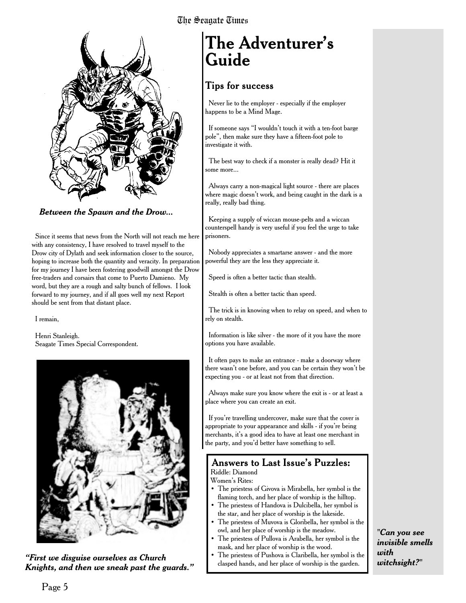

*Between the Spawn and the Drow...*

Since it seems that news from the North will not reach me here with any consistency, I have resolved to travel myself to the Drow city of Dylath and seek information closer to the source, hoping to increase both the quantity and veracity. In preparation for my journey I have been fostering goodwill amongst the Drow free-traders and corsairs that come to Puerto Damieno. My word, but they are a rough and salty bunch of fellows. I look forward to my journey, and if all goes well my next Report should be sent from that distant place.

I remain,

Henri Stanleigh. Seagate Times Special Correspondent.



**First we disguise ourselves as Church**  $\begin{array}{c} \bullet \end{array}$  The priestess of Pushova is Claribella, her symbol is the garden. *Knights, and then we sneak past the guards."*

# **The Adventurer's Guide**

## Tips for success

Never lie to the employer - especially if the employer happens to be a Mind Mage.

If someone says "I wouldn't touch it with a ten-foot barge pole", then make sure they have a fifteen-foot pole to investigate it with.

The best way to check if a monster is really dead? Hit it some more...

Always carry a non-magical light source - there are places where magic doesn't work, and being caught in the dark is a really, really bad thing.

Keeping a supply of wiccan mouse-pelts and a wiccan counterspell handy is very useful if you feel the urge to take prisoners.

Nobody appreciates a smartarse answer - and the more powerful they are the less they appreciate it.

Speed is often a better tactic than stealth.

Stealth is often a better tactic than speed.

The trick is in knowing when to relay on speed, and when to rely on stealth.

Information is like silver - the more of it you have the more options you have available.

It often pays to make an entrance - make a doorway where there wasn't one before, and you can be certain they won't be expecting you - or at least not from that direction.

Always make sure you know where the exit is - or at least a place where you can create an exit.

If you're travelling undercover, make sure that the cover is appropriate to your appearance and skills - if you're being merchants, it's a good idea to have at least one merchant in the party, and you'd better have something to sell.

#### Answers to Last Issue's Puzzles: Riddle: Diamond

Women's Rites:

- The priestess of Givova is Mirabella, her symbol is the flaming torch, and her place of worship is the hilltop.
- The priestess of Handova is Dulcibella, her symbol is the star, and her place of worship is the lakeside.
- The priestess of Muvova is Gloribella, her symbol is the owl, and her place of worship is the meadow.
- The priestess of Pullova is Arabella, her symbol is the mask, and her place of worship is the wood.
- The priestess of Pushova is Claribella, her symbol is the

*"Can you see invisible smells with witchsight?"*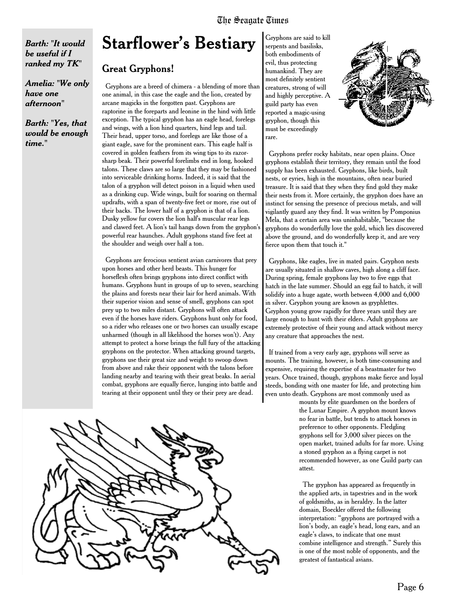*Barth: "It would be useful if I ranked my TK"*

*Amelia: "We only have one afternoon"*

*Barth: "Yes, that would be enough time."*

# **Starflower's Bestiary**

#### Great Gryphons!

Gryphons are a breed of chimera - a blending of more than one animal, in this case the eagle and the lion, created by arcane magicks in the forgotten past. Gryphons are raptorine in the foreparts and leonine in the hind with little exception. The typical gryphon has an eagle head, forelegs and wings, with a lion hind quarters, hind legs and tail. Their head, upper torso, and forelegs are like those of a giant eagle, save for the prominent ears. This eagle half is covered in golden feathers from its wing tips to its razorsharp beak. Their powerful forelimbs end in long, hooked talons. These claws are so large that they may be fashioned into serviceable drinking horns. Indeed, it is said that the talon of a gryphon will detect poison in a liquid when used as a drinking cup. Wide wings, built for soaring on thermal updrafts, with a span of twenty-five feet or more, rise out of their backs. The lower half of a gryphon is that of a lion. Dusky yellow fur covers the lion half's muscular rear legs and clawed feet. A lion's tail hangs down from the gryphon's powerful rear haunches. Adult gryphons stand five feet at the shoulder and weigh over half a ton.

Gryphons are ferocious sentient avian carnivores that prey upon horses and other herd beasts. This hunger for horseflesh often brings gryphons into direct conflict with humans. Gryphons hunt in groups of up to seven, searching the plains and forests near their lair for herd animals. With their superior vision and sense of smell, gryphons can spot prey up to two miles distant. Gryphons will often attack even if the horses have riders. Gryphons hunt only for food, so a rider who releases one or two horses can usually escape unharmed (though in all likelihood the horses won't). Any attempt to protect a horse brings the full fury of the attacking gryphons on the protector. When attacking ground targets, gryphons use their great size and weight to swoop down from above and rake their opponent with the talons before landing nearby and tearing with their great beaks. In aerial combat, gryphons are equally fierce, lunging into battle and tearing at their opponent until they or their prey are dead.



Gryphons are said to kill serpents and basilisks, both embodiments of evil, thus protecting humankind. They are most definitely sentient creatures, strong of will and highly perceptive. A guild party has even reported a magic-using gryphon, though this must be exceedingly rare.



Gryphons prefer rocky habitats, near open plains. Once gryphons establish their territory, they remain until the food supply has been exhausted. Gryphons, like birds, built nests, or eyries, high in the mountains, often near buried treasure. It is said that they when they find gold they make their nests from it. More certainly, the gryphon does have an instinct for sensing the presence of precious metals, and will vigilantly guard any they find. It was written by Pomponius Mela, that a certain area was uninhabitable, "because the gryphons do wonderfully love the gold, which lies discovered above the ground, and do wonderfully keep it, and are very fierce upon them that touch it."

Gryphons, like eagles, live in mated pairs. Gryphon nests are usually situated in shallow caves, high along a cliff face. During spring, female gryphons lay two to five eggs that hatch in the late summer. Should an egg fail to hatch, it will solidify into a huge agate, worth between 4,000 and 6,000 in silver. Gryphon young are known as gryphlettes. Gryphon young grow rapidly for three years until they are large enough to hunt with their elders. Adult gryphons are extremely protective of their young and attack without mercy any creature that approaches the nest.

If trained from a very early age, gryphons will serve as mounts. The training, however, is both time-consuming and expensive, requiring the expertise of a beastmaster for two years. Once trained, though, gryphons make fierce and loyal steeds, bonding with one master for life, and protecting him even unto death. Gryphons are most commonly used as

> mounts by elite guardsmen on the borders of the Lunar Empire. A gryphon mount knows no fear in battle, but tends to attack horses in preference to other opponents. Fledgling gryphons sell for 3,000 silver pieces on the open market, trained adults for far more. Using a stoned gryphon as a flying carpet is not recommended however, as one Guild party can attest.

The gryphon has appeared as frequently in the applied arts, in tapestries and in the work of goldsmiths, as in heraldry. In the latter domain, Boeckler offered the following interpretation: "gryphons are portrayed with a lion's body, an eagle's head, long ears, and an eagle's claws, to indicate that one must combine intelligence and strength." Surely this is one of the most noble of opponents, and the greatest of fantastical avians.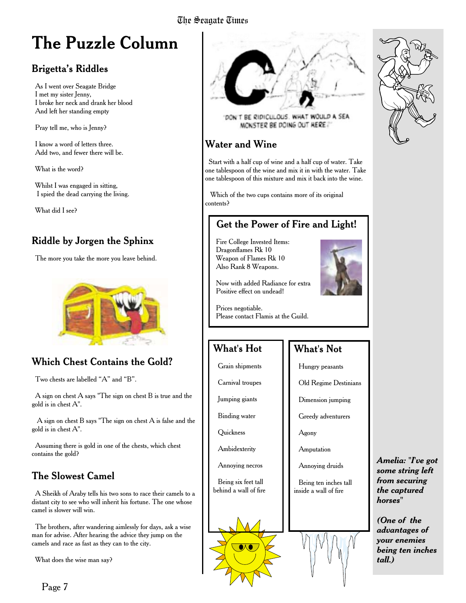# **The Puzzle Column**

# Brigetta's Riddles

As I went over Seagate Bridge I met my sister Jenny, I broke her neck and drank her blood And left her standing empty

Pray tell me, who is Jenny?

I know a word of letters three. Add two, and fewer there will be.

What is the word?

Whilst I was engaged in sitting, I spied the dead carrying the living.

What did I see?

# Riddle by Jorgen the Sphinx

The more you take the more you leave behind.



# **Which Chest Contains the Gold?**

Two chests are labelled "A" and "B".

A sign on chest A says "The sign on chest B is true and the gold is in chest A".

A sign on chest B says "The sign on chest A is false and the gold is in chest A".

Assuming there is gold in one of the chests, which chest contains the gold?

# The Slowest Camel

A Sheikh of Araby tells his two sons to race their camels to a distant city to see who will inherit his fortune. The one whose camel is slower will win.

The brothers, after wandering aimlessly for days, ask a wise man for advise. After hearing the advice they jump on the camels and race as fast as they can to the city.

What does the wise man say?



DON'T BE RIDICULOUS. WHAT WOULD A SEA MONSTER BE DOING OUT HERE?"

## Water and Wine

Start with a half cup of wine and a half cup of water. Take one tablespoon of the wine and mix it in with the water. Take one tablespoon of this mixture and mix it back into the wine.

Which of the two cups contains more of its original contents?

## Get the Power of Fire and Light!

Fire College Invested Items: Dragonflames Rk 10 Weapon of Flames Rk 10 Also Rank 8 Weapons.



Now with added Radiance for extra Positive effect on undead!

Prices negotiable. Please contact Flamis at the Guild.

# What's Hot

Grain shipments

Carnival troupes

Jumping giants

Binding water

**Quickness** 

Ambidexterity

Annoying necros

Being six feet tall behind a wall of fire



## What's Not

- Hungry peasants
- Old Regime Destinians

Dimension jumping

Greedy adventurers

Agony

Amputation

- Annoying druids
- Being ten inches tall inside a wall of fire



*Amelia: "I've got some string left from securing the captured horses"*

*(One of the advantages of your enemies being ten inches tall.)*